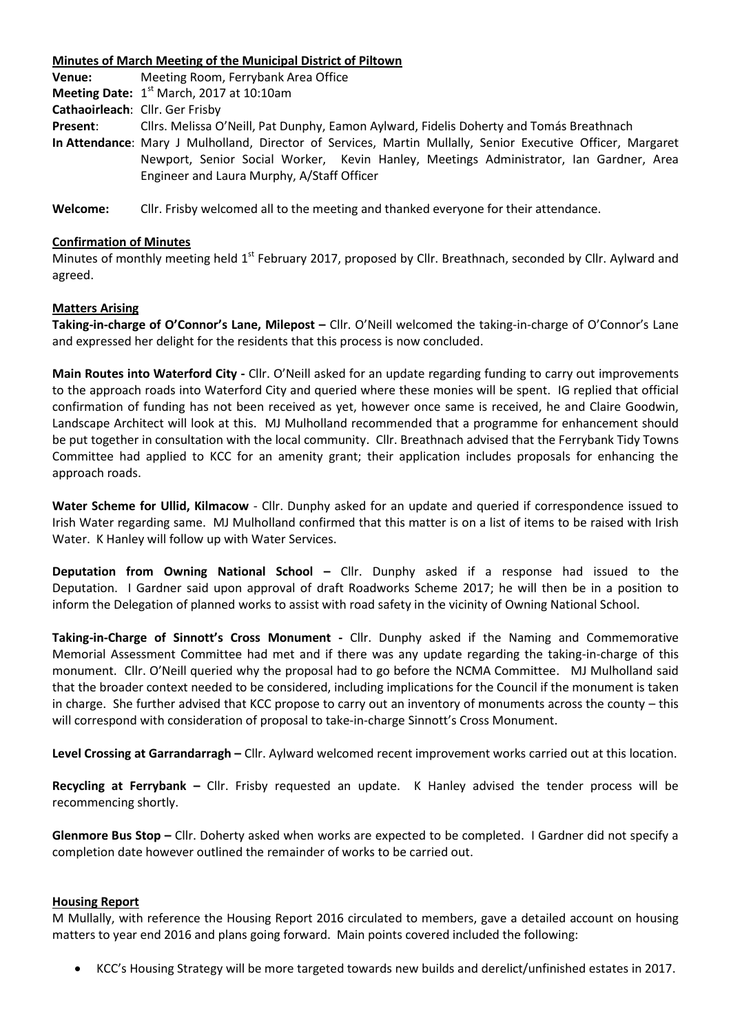### **Minutes of March Meeting of the Municipal District of Piltown**

**Venue:** Meeting Room, Ferrybank Area Office **Meeting Date:** 1<sup>st</sup> March, 2017 at 10:10am

**Cathaoirleach**: Cllr. Ger Frisby

**Present**: Cllrs. Melissa O'Neill, Pat Dunphy, Eamon Aylward, Fidelis Doherty and Tomás Breathnach

**In Attendance**: Mary J Mulholland, Director of Services, Martin Mullally, Senior Executive Officer, Margaret Newport, Senior Social Worker, Kevin Hanley, Meetings Administrator, Ian Gardner, Area Engineer and Laura Murphy, A/Staff Officer

**Welcome:** Cllr. Frisby welcomed all to the meeting and thanked everyone for their attendance.

# **Confirmation of Minutes**

Minutes of monthly meeting held 1<sup>st</sup> February 2017, proposed by Cllr. Breathnach, seconded by Cllr. Aylward and agreed.

# **Matters Arising**

**Taking-in-charge of O'Connor's Lane, Milepost –** Cllr. O'Neill welcomed the taking-in-charge of O'Connor's Lane and expressed her delight for the residents that this process is now concluded.

**Main Routes into Waterford City -** Cllr. O'Neill asked for an update regarding funding to carry out improvements to the approach roads into Waterford City and queried where these monies will be spent. IG replied that official confirmation of funding has not been received as yet, however once same is received, he and Claire Goodwin, Landscape Architect will look at this. MJ Mulholland recommended that a programme for enhancement should be put together in consultation with the local community. Cllr. Breathnach advised that the Ferrybank Tidy Towns Committee had applied to KCC for an amenity grant; their application includes proposals for enhancing the approach roads.

**Water Scheme for Ullid, Kilmacow** - Cllr. Dunphy asked for an update and queried if correspondence issued to Irish Water regarding same. MJ Mulholland confirmed that this matter is on a list of items to be raised with Irish Water. K Hanley will follow up with Water Services.

**Deputation from Owning National School -** Cllr. Dunphy asked if a response had issued to the Deputation. I Gardner said upon approval of draft Roadworks Scheme 2017; he will then be in a position to inform the Delegation of planned works to assist with road safety in the vicinity of Owning National School.

**Taking-in-Charge of Sinnott's Cross Monument -** Cllr. Dunphy asked if the Naming and Commemorative Memorial Assessment Committee had met and if there was any update regarding the taking-in-charge of this monument. Cllr. O'Neill queried why the proposal had to go before the NCMA Committee. MJ Mulholland said that the broader context needed to be considered, including implications for the Council if the monument is taken in charge. She further advised that KCC propose to carry out an inventory of monuments across the county – this will correspond with consideration of proposal to take-in-charge Sinnott's Cross Monument.

**Level Crossing at Garrandarragh –** Cllr. Aylward welcomed recent improvement works carried out at this location.

**Recycling at Ferrybank –** Cllr. Frisby requested an update. K Hanley advised the tender process will be recommencing shortly.

**Glenmore Bus Stop –** Cllr. Doherty asked when works are expected to be completed. I Gardner did not specify a completion date however outlined the remainder of works to be carried out.

# **Housing Report**

M Mullally, with reference the Housing Report 2016 circulated to members, gave a detailed account on housing matters to year end 2016 and plans going forward. Main points covered included the following:

KCC's Housing Strategy will be more targeted towards new builds and derelict/unfinished estates in 2017.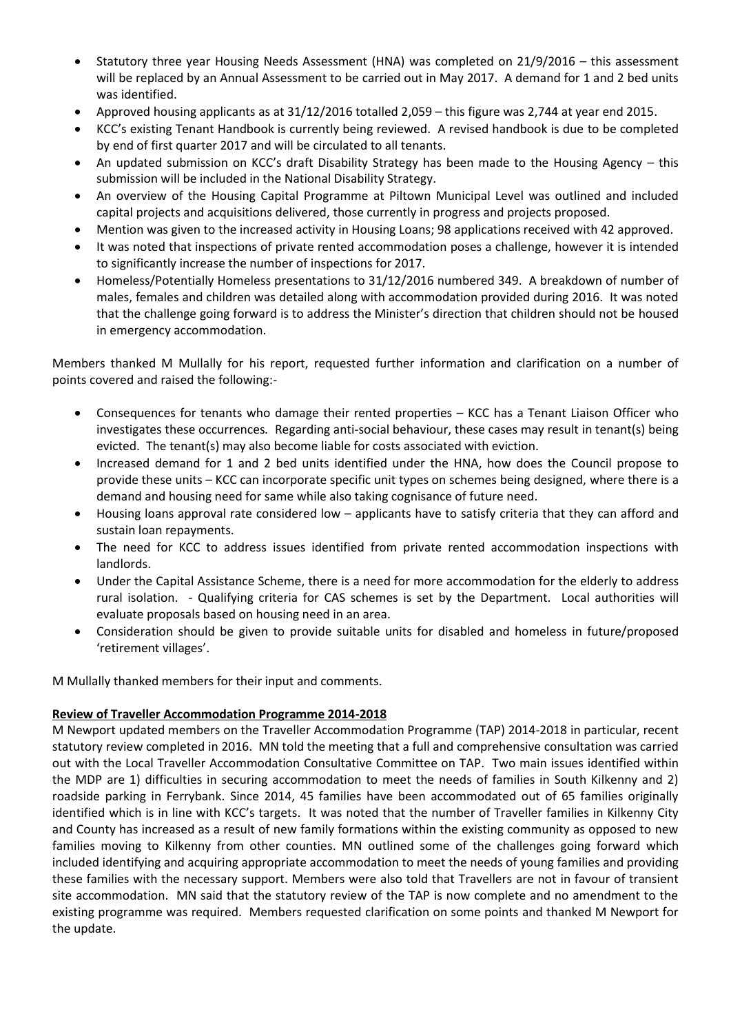- Statutory three year Housing Needs Assessment (HNA) was completed on 21/9/2016 this assessment will be replaced by an Annual Assessment to be carried out in May 2017. A demand for 1 and 2 bed units was identified.
- Approved housing applicants as at 31/12/2016 totalled 2,059 this figure was 2,744 at year end 2015.
- KCC's existing Tenant Handbook is currently being reviewed. A revised handbook is due to be completed by end of first quarter 2017 and will be circulated to all tenants.
- An updated submission on KCC's draft Disability Strategy has been made to the Housing Agency this submission will be included in the National Disability Strategy.
- An overview of the Housing Capital Programme at Piltown Municipal Level was outlined and included capital projects and acquisitions delivered, those currently in progress and projects proposed.
- Mention was given to the increased activity in Housing Loans; 98 applications received with 42 approved.
- It was noted that inspections of private rented accommodation poses a challenge, however it is intended to significantly increase the number of inspections for 2017.
- Homeless/Potentially Homeless presentations to 31/12/2016 numbered 349. A breakdown of number of males, females and children was detailed along with accommodation provided during 2016. It was noted that the challenge going forward is to address the Minister's direction that children should not be housed in emergency accommodation.

Members thanked M Mullally for his report, requested further information and clarification on a number of points covered and raised the following:-

- Consequences for tenants who damage their rented properties KCC has a Tenant Liaison Officer who investigates these occurrences*.* Regarding anti-social behaviour, these cases may result in tenant(s) being evicted. The tenant(s) may also become liable for costs associated with eviction.
- Increased demand for 1 and 2 bed units identified under the HNA, how does the Council propose to provide these units – KCC can incorporate specific unit types on schemes being designed, where there is a demand and housing need for same while also taking cognisance of future need.
- Housing loans approval rate considered low applicants have to satisfy criteria that they can afford and sustain loan repayments.
- The need for KCC to address issues identified from private rented accommodation inspections with landlords.
- Under the Capital Assistance Scheme, there is a need for more accommodation for the elderly to address rural isolation. - Qualifying criteria for CAS schemes is set by the Department. Local authorities will evaluate proposals based on housing need in an area.
- Consideration should be given to provide suitable units for disabled and homeless in future/proposed 'retirement villages'.

M Mullally thanked members for their input and comments.

### **Review of Traveller Accommodation Programme 2014-2018**

M Newport updated members on the Traveller Accommodation Programme (TAP) 2014-2018 in particular, recent statutory review completed in 2016. MN told the meeting that a full and comprehensive consultation was carried out with the Local Traveller Accommodation Consultative Committee on TAP. Two main issues identified within the MDP are 1) difficulties in securing accommodation to meet the needs of families in South Kilkenny and 2) roadside parking in Ferrybank. Since 2014, 45 families have been accommodated out of 65 families originally identified which is in line with KCC's targets. It was noted that the number of Traveller families in Kilkenny City and County has increased as a result of new family formations within the existing community as opposed to new families moving to Kilkenny from other counties. MN outlined some of the challenges going forward which included identifying and acquiring appropriate accommodation to meet the needs of young families and providing these families with the necessary support. Members were also told that Travellers are not in favour of transient site accommodation. MN said that the statutory review of the TAP is now complete and no amendment to the existing programme was required. Members requested clarification on some points and thanked M Newport for the update.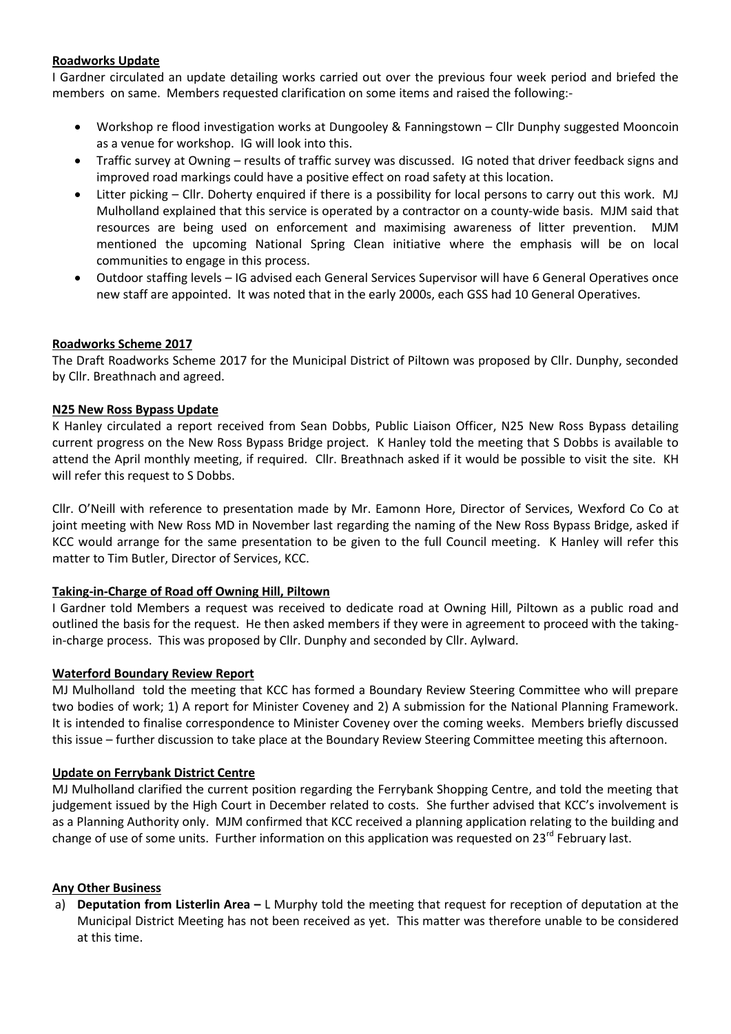### **Roadworks Update**

I Gardner circulated an update detailing works carried out over the previous four week period and briefed the members on same. Members requested clarification on some items and raised the following:-

- Workshop re flood investigation works at Dungooley & Fanningstown Cllr Dunphy suggested Mooncoin as a venue for workshop. IG will look into this.
- Traffic survey at Owning results of traffic survey was discussed. IG noted that driver feedback signs and improved road markings could have a positive effect on road safety at this location.
- Litter picking Cllr. Doherty enquired if there is a possibility for local persons to carry out this work. MJ Mulholland explained that this service is operated by a contractor on a county-wide basis. MJM said that resources are being used on enforcement and maximising awareness of litter prevention. MJM mentioned the upcoming National Spring Clean initiative where the emphasis will be on local communities to engage in this process.
- Outdoor staffing levels IG advised each General Services Supervisor will have 6 General Operatives once new staff are appointed. It was noted that in the early 2000s, each GSS had 10 General Operatives*.*

### **Roadworks Scheme 2017**

The Draft Roadworks Scheme 2017 for the Municipal District of Piltown was proposed by Cllr. Dunphy, seconded by Cllr. Breathnach and agreed.

### **N25 New Ross Bypass Update**

K Hanley circulated a report received from Sean Dobbs, Public Liaison Officer, N25 New Ross Bypass detailing current progress on the New Ross Bypass Bridge project*.* K Hanley told the meeting that S Dobbs is available to attend the April monthly meeting, if required*.* Cllr. Breathnach asked if it would be possible to visit the site. KH will refer this request to S Dobbs.

Cllr. O'Neill with reference to presentation made by Mr. Eamonn Hore, Director of Services, Wexford Co Co at joint meeting with New Ross MD in November last regarding the naming of the New Ross Bypass Bridge, asked if KCC would arrange for the same presentation to be given to the full Council meeting. K Hanley will refer this matter to Tim Butler, Director of Services, KCC.

### **Taking-in-Charge of Road off Owning Hill, Piltown**

I Gardner told Members a request was received to dedicate road at Owning Hill, Piltown as a public road and outlined the basis for the request. He then asked members if they were in agreement to proceed with the takingin-charge process. This was proposed by Cllr. Dunphy and seconded by Cllr. Aylward.

### **Waterford Boundary Review Report**

MJ Mulholland told the meeting that KCC has formed a Boundary Review Steering Committee who will prepare two bodies of work; 1) A report for Minister Coveney and 2) A submission for the National Planning Framework. It is intended to finalise correspondence to Minister Coveney over the coming weeks. Members briefly discussed this issue – further discussion to take place at the Boundary Review Steering Committee meeting this afternoon.

### **Update on Ferrybank District Centre**

MJ Mulholland clarified the current position regarding the Ferrybank Shopping Centre, and told the meeting that judgement issued by the High Court in December related to costs. She further advised that KCC's involvement is as a Planning Authority only. MJM confirmed that KCC received a planning application relating to the building and change of use of some units. Further information on this application was requested on 23<sup>rd</sup> February last.

### **Any Other Business**

a) **Deputation from Listerlin Area –** L Murphy told the meeting that request for reception of deputation at the Municipal District Meeting has not been received as yet. This matter was therefore unable to be considered at this time.